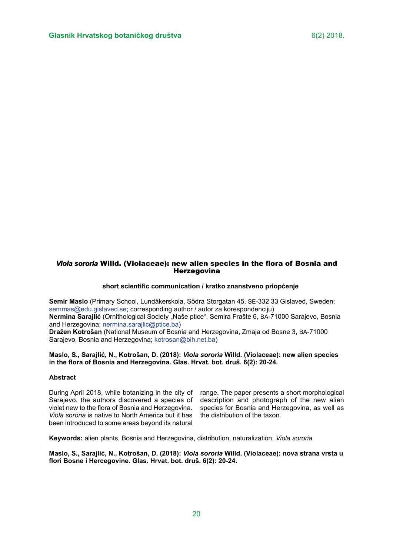# *Viola sororia* Willd. (Violaceae): new alien species in the flora of Bosnia and *Viola sororia*  **Herzegovina**

## **short scientific communication / kratko znanstveno priopćenje**

**Semir Maslo** (Primary School, Lundåkerskola, Södra Storgatan 45, SE-332 33 Gislaved, Sweden; [semmas@edu.gislaved.se;](semmas@edu.gislaved.se) corresponding author / autor za korespondenciju) Nermina Sarajlić (Ornithological Society "Naše ptice", Semira Frašte 6, BA-71000 Sarajevo, Bosnia and Herzegovina; [nermina.sarajlic@ptice.ba\)](nermina.sarajlic@ptice.ba) **Dražen Kotrošan** (National Museum of Bosnia and Herzegovina, Zmaja od Bosne 3, BA-71000 Sarajevo, Bosnia and Herzegovina; <kotrosan@bih.net.ba>)

## **Maslo, S., Sarajlić, N., Kotrošan, D. (2018):** *Viola sororia* **Willd. (Violaceae): new alien species in the flora of Bosnia and Herzegovina. Glas. Hrvat. bot. druš. 6(2): 20-24.**

#### **Abstract**

During April 2018, while botanizing in the city of Sarajevo, the authors discovered a species of violet new to the flora of Bosnia and Herzegovina. *Viola sororia* is native to North America but it has been introduced to some areas beyond its natural

range. The paper presents a short morphological description and photograph of the new alien species for Bosnia and Herzegovina, as well as the distribution of the taxon.

**Keywords:** alien plants, Bosnia and Herzegovina, distribution, naturalization, *Viola sororia*

**Maslo, S., Sarajlić, N., Kotrošan, D. (2018):** *Viola sororia* **Willd. (Violaceae): nova strana vrsta u flori Bosne i Hercegovine. Glas. Hrvat. bot. druš. 6(2): 20-24.**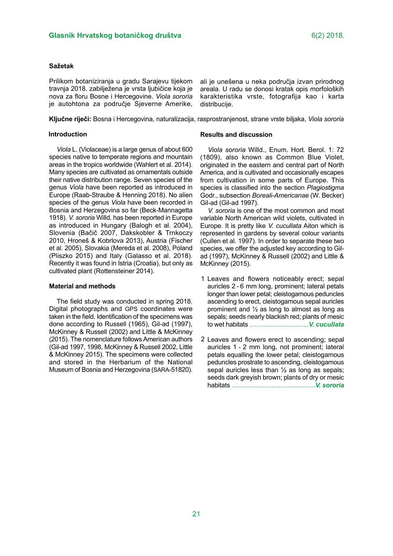#### **Sažetak**

Prilikom botaniziranja u gradu Sarajevu tijekom travnja 2018. zabilježena je vrsta ljubičice koja je nova za floru Bosne i Hercegovine. *Viola sororia*  je autohtona za područje Sjeverne Amerike,

**Ključne riječi:** Bosna i Hercegovina, naturalizacija, rasprostranjenost, strane vrste biljaka, *Viola sororia*

distribucije.

## **Introduction**

*Viola* L. (Violaceae) is a large genus of about 600 species native to temperate regions and mountain areas in the tropics worldwide (Wahlert et al. 2014). Many species are cultivated as ornamentals outside their native distribution range. Seven species of the genus *Viola* have been reported as introduced in Europe (Raab-Straube & Henning 2018). No alien species of the genus *Viola* have been recorded in Bosnia and Herzegovina so far (Beck-Mannagetta 1918). *V. sororia* Willd. has been reported in Europe as introduced in Hungary (Balogh et al. 2004), Slovenia (Bačič 2007, Dakskobler & Trnkoczy 2010, Hroneš & Kobrlova 2013), Austria (Fischer et al. 2005), Slovakia (Mereda et al. 2008), Poland (Pliszko 2015) and Italy (Galasso et al. 2018). Recently it was found in Istria (Croatia), but only as cultivated plant (Rottensteiner 2014).

#### **Material and methods**

The field study was conducted in spring 2018. Digital photographs and GPS coordinates were taken in the field. Identification of the specimens was done according to Russell (1965), Gil-ad (1997), McKinney & Russell (2002) and Little & McKinney (2015). The nomenclature follows American authors (Gil-ad 1997, 1998, McKinney & Russell 2002, Little & McKinney 2015). The specimens were collected and stored in the Herbarium of the National Museum of Bosnia and Herzegovina (SARA-51820).

# **Results and discussion**

*Viola sororia* Willd., Enum. Hort. Berol. 1: 72 (1809), also known as Common Blue Violet, originated in the eastern and central part of North America, and is cultivated and occasionally escapes from cultivation in some parts of Europe. This species is classified into the section *Plagiostigma*  Godr., subsection *Boreali-Americanae* (W. Becker) Gil-ad (Gil-ad 1997).

ali je unešena u neka područja izvan prirodnog areala. U radu se donosi kratak opis morfoloških karakteristika vrste, fotografija kao i karta

*V. sororia* is one of the most common and most variable North American wild violets, cultivated in Europe. It is pretty like *V. cucullata* Aiton which is represented in gardens by several colour variants (Cullen et al. 1997). In order to separate these two species, we offer the adjusted key according to Gilad (1997), McKinney & Russell (2002) and Little & McKinney (2015).

- 1 Leaves and flowers noticeably erect; sepal auricles 2 - 6 mm long, prominent; lateral petals longer than lower petal; cleistogamous peduncles ascending to erect, cleistogamous sepal auricles prominent and ½ as long to almost as long as sepals; seeds nearly blackish red; plants of mesic to wet habitats .................................*V. cucullata*
- 2 Leaves and flowers erect to ascending; sepal auricles 1 - 2 mm long, not prominent; lateral petals equalling the lower petal; cleistogamous peduncles prostrate to ascending, cleistogamous sepal auricles less than ½ as long as sepals; seeds dark greyish brown; plants of dry or mesic habitats ................................................*V. sororia*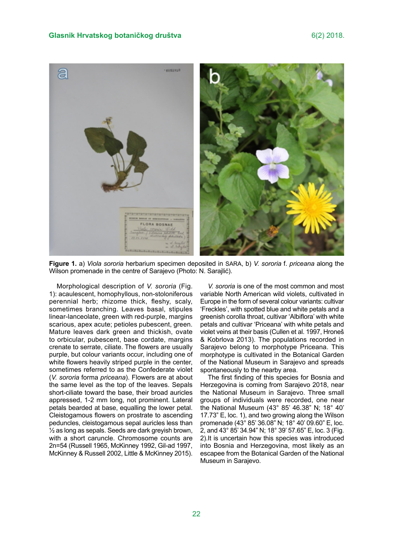

**Figure 1.** a) *Viola sororia* herbarium specimen deposited in SARA, b) *V. sororia* f. *priceana* along the Wilson promenade in the centre of Sarajevo (Photo: N. Sarajlić).

Morphological description of *V. sororia* (Fig. 1): acaulescent, homophyllous, non-stoloniferous perennial herb; rhizome thick, fleshy, scaly, sometimes branching. Leaves basal, stipules linear-lanceolate, green with red-purple, margins scarious, apex acute; petioles pubescent, green. Mature leaves dark green and thickish, ovate to orbicular, pubescent, base cordate, margins crenate to serrate, ciliate. The flowers are usually purple, but colour variants occur, including one of white flowers heavily striped purple in the center, sometimes referred to as the Confederate violet (*V. sororia* forma *priceana*). Flowers are at about the same level as the top of the leaves. Sepals short-ciliate toward the base, their broad auricles appressed, 1-2 mm long, not prominent. Lateral petals bearded at base, equalling the lower petal. Cleistogamous flowers on prostrate to ascending peduncles, cleistogamous sepal auricles less than ½ as long as sepals. Seeds are dark greyish brown, with a short caruncle. Chromosome counts are 2n=54 (Russell 1965, McKinney 1992, Gil-ad 1997, McKinney & Russell 2002, Little & McKinney 2015).

*V. sororia* is one of the most common and most variable North American wild violets, cultivated in Europe in the form of several colour variants: cultivar 'Freckles', with spotted blue and white petals and a greenish corolla throat, cultivar 'Albiflora' with white petals and cultivar 'Priceana' with white petals and violet veins at their basis (Cullen et al. 1997, Hroneš & Kobrlova 2013). The populations recorded in Sarajevo belong to morphotype Priceana. This morphotype is cultivated in the Botanical Garden of the National Museum in Sarajevo and spreads spontaneously to the nearby area.

The first finding of this species for Bosnia and Herzegovina is coming from Sarajevo 2018, near the National Museum in Sarajevo. Three small groups of individuals were recorded, one near the National Museum (43° 85' 46.38" N; 18° 40' 17.73" E, loc. 1), and two growing along the Wilson promenade (43° 85' 36.08" N; 18° 40' 09.60" E, loc. 2, and 43° 85' 34.94" N; 18° 39' 57.65" E, loc. 3 (Fig. 2).It is uncertain how this species was introduced into Bosnia and Herzegovina, most likely as an escapee from the Botanical Garden of the National Museum in Sarajevo.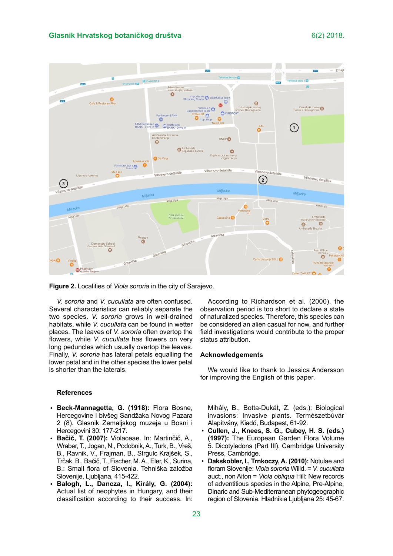

**Figure 2.** Localities of *Viola sororia* in the city of Sarajevo.

*V. sororia* and *V. cucullata* are often confused. Several characteristics can reliably separate the two species. *V. sororia* grows in well-drained habitats, while *V. cucullata* can be found in wetter places. The leaves of *V. sororia* often overtop the flowers, while *V. cucullata* has flowers on very long peduncles which usually overtop the leaves. Finally, *V. sororia* has lateral petals equalling the lower petal and in the other species the lower petal is shorter than the laterals.

#### **References**

- **Beck-Mannagetta, G. (1918):** Flora Bosne, Hercegovine i bivšeg Sandžaka Novog Pazara 2 (8). Glasnik Zemaljskog muzeja u Bosni i Hercegovini 30: 177-217.
- **Bačič, T. (2007):** Violaceae. In: Martinčič, A., Wraber, T., Jogan, N., Podobnik, A., Turk, B., Vreš, B., Ravnik, V., Frajman, B., Strgulc Krajšek, S., Trčak, B., Bačič, T., Fischer, M. A., Eler, K., Surina, B.: Small flora of Slovenia. Tehniška založba Slovenije, Ljubljana, 415-422. •
- **Balogh, L., Dancza, I., Király, G. (2004):**  Actual list of neophytes in Hungary, and their classification according to their success. In: •

According to Richardson et al. (2000), the observation period is too short to declare a state of naturalized species. Therefore, this species can be considered an alien casual for now, and further field investigations would contribute to the proper status attribution.

#### **Acknowledgements**

We would like to thank to Jessica Andersson for improving the English of this paper.

Mihály, B., Botta-Dukát, Z. (eds.): Biological invasions: Invasive plants. Természetbúvár Alapítvány, Kiadó, Budapest, 61-92.

- **Cullen, J., Knees, S. G., Cubey, H. S. (eds.) (1997):** The European Garden Flora Volume 5. Dicotyledons (Part III). Cambridge University Press, Cambridge.
- **Dakskobler, I., Trnkoczy, A. (2010):** Notulae and floram Slovenije: *Viola sororia* Willd. = *V. cucullata*  auct., non Aiton = *Viola obliqua* Hill: New records of adventitious species in the Alpine, Pre-Alpine, Dinaric and Sub-Mediterranean phytogeographic region of Slovenia. Hladnikia Ljubljana 25: 45-67.